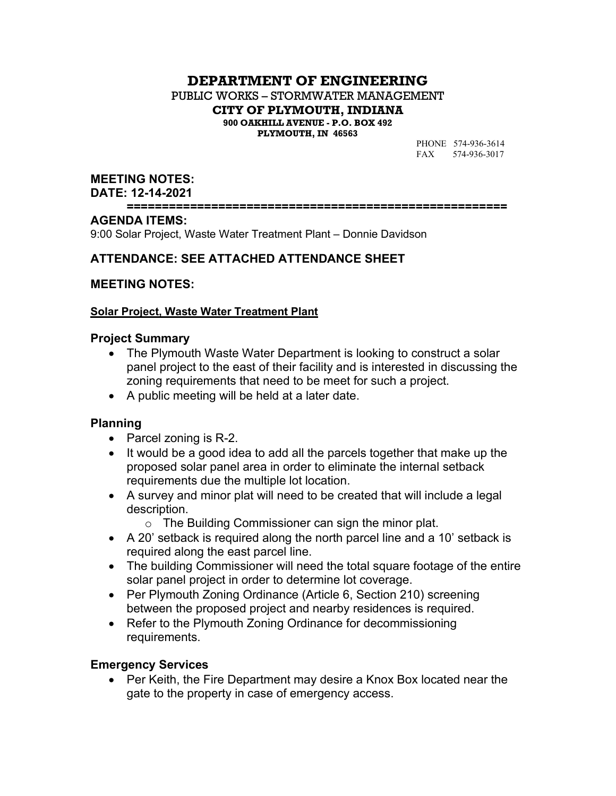# **DEPARTMENT OF ENGINEERING**

PUBLIC WORKS – STORMWATER MANAGEMENT **CITY OF PLYMOUTH, INDIANA 900 OAKHILL AVENUE - P.O. BOX 492**

**PLYMOUTH, IN 46563**

PHONE 574-936-3614 FAX 574-936-3017

### **MEETING NOTES:**

**DATE: 12-14-2021**

**======================================================**

### **AGENDA ITEMS:**

9:00 Solar Project, Waste Water Treatment Plant – Donnie Davidson

### **ATTENDANCE: SEE ATTACHED ATTENDANCE SHEET**

### **MEETING NOTES:**

### **Solar Project, Waste Water Treatment Plant**

### **Project Summary**

- The Plymouth Waste Water Department is looking to construct a solar panel project to the east of their facility and is interested in discussing the zoning requirements that need to be meet for such a project.
- A public meeting will be held at a later date.

### **Planning**

- Parcel zoning is  $R-2$ .
- It would be a good idea to add all the parcels together that make up the proposed solar panel area in order to eliminate the internal setback requirements due the multiple lot location.
- A survey and minor plat will need to be created that will include a legal description.
	- o The Building Commissioner can sign the minor plat.
- A 20' setback is required along the north parcel line and a 10' setback is required along the east parcel line.
- The building Commissioner will need the total square footage of the entire solar panel project in order to determine lot coverage.
- Per Plymouth Zoning Ordinance (Article 6, Section 210) screening between the proposed project and nearby residences is required.
- Refer to the Plymouth Zoning Ordinance for decommissioning requirements.

### **Emergency Services**

• Per Keith, the Fire Department may desire a Knox Box located near the gate to the property in case of emergency access.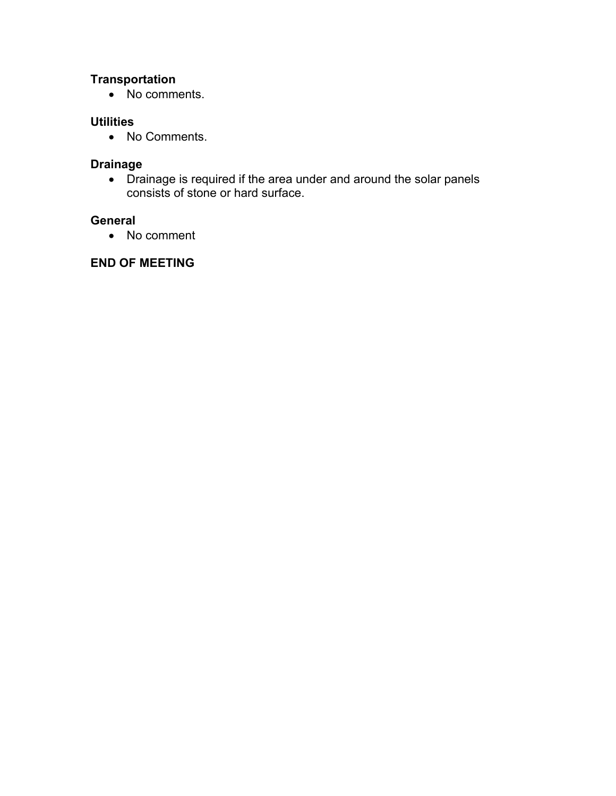# **Transportation**

• No comments.

### **Utilities**

• No Comments.

### **Drainage**

 Drainage is required if the area under and around the solar panels consists of stone or hard surface.

## **General**

• No comment

# **END OF MEETING**